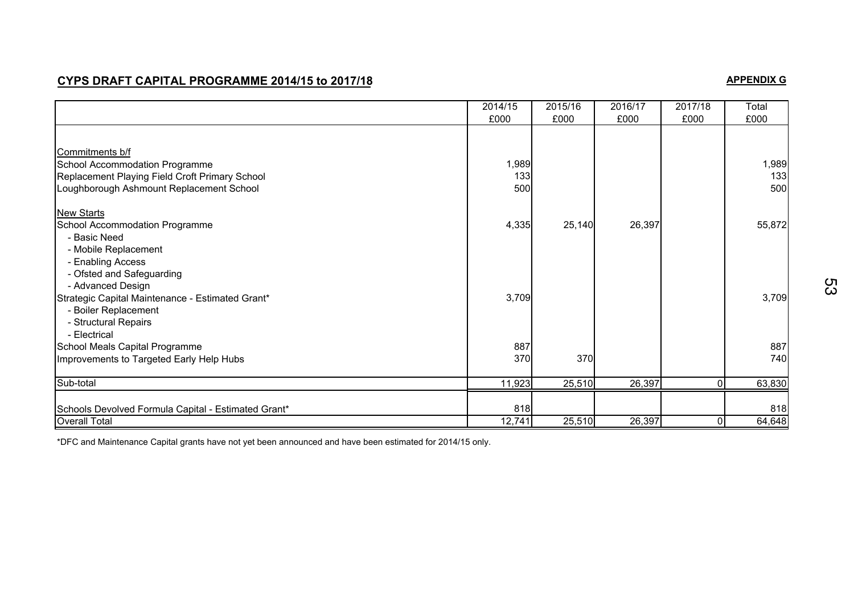## **CYPS DRAFT CAPITAL PROGRAMME 2014/15 to 2017/18**

# **APPENDIX G**

|                                                     | 2014/15<br>£000 | 2015/16<br>£000 | 2016/17<br>£000 | 2017/18<br>£000 | Total<br>£000 |
|-----------------------------------------------------|-----------------|-----------------|-----------------|-----------------|---------------|
|                                                     |                 |                 |                 |                 |               |
| Commitments b/f                                     |                 |                 |                 |                 |               |
| School Accommodation Programme                      | 1,989           |                 |                 |                 | 1,989         |
| Replacement Playing Field Croft Primary School      | 133             |                 |                 |                 | 133           |
| Loughborough Ashmount Replacement School            | 500             |                 |                 |                 | 500           |
| <b>New Starts</b>                                   |                 |                 |                 |                 |               |
| School Accommodation Programme                      | 4,335           | 25,140          | 26,397          |                 | 55,872        |
| - Basic Need                                        |                 |                 |                 |                 |               |
| - Mobile Replacement                                |                 |                 |                 |                 |               |
| - Enabling Access                                   |                 |                 |                 |                 |               |
| - Ofsted and Safeguarding                           |                 |                 |                 |                 |               |
| - Advanced Design                                   |                 |                 |                 |                 |               |
| Strategic Capital Maintenance - Estimated Grant*    | 3,709           |                 |                 |                 | 3,709         |
| - Boiler Replacement                                |                 |                 |                 |                 |               |
| - Structural Repairs                                |                 |                 |                 |                 |               |
| - Electrical                                        |                 |                 |                 |                 |               |
| School Meals Capital Programme                      | 887             |                 |                 |                 | 887           |
| Improvements to Targeted Early Help Hubs            | 370             | 370             |                 |                 | 740           |
| Sub-total                                           | 11,923          | 25,510          | 26,397          | $\overline{0}$  | 63,830        |
| Schools Devolved Formula Capital - Estimated Grant* | 818             |                 |                 |                 | 818           |
| <b>Overall Total</b>                                | 12,741          | 25,510          | 26,397          | 0I              | 64,648        |

\*DFC and Maintenance Capital grants have not yet been announced and have been estimated for 2014/15 only.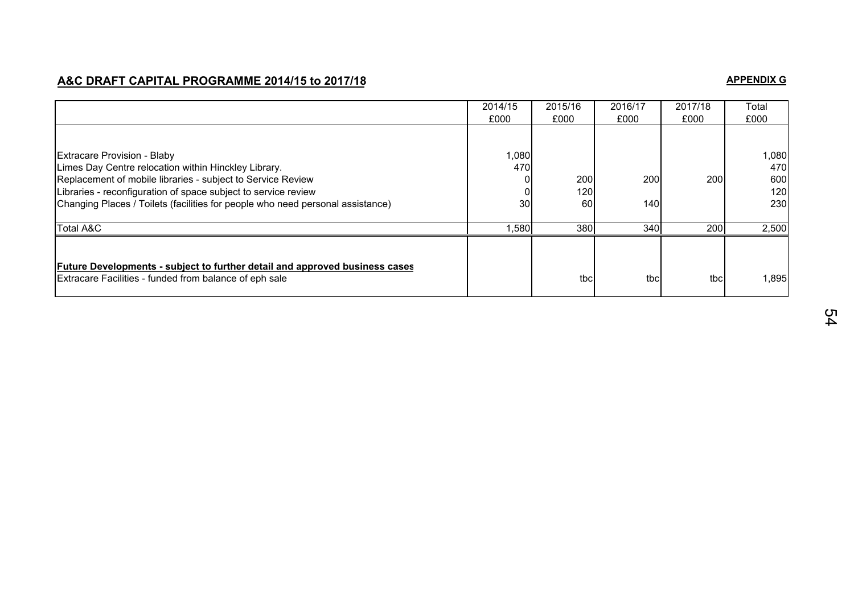## **A&C DRAFT CAPITAL PROGRAMME 2014/15 to 2017/18**

# **APPENDIX G**

|                                                                                                                                                     | 2014/15<br>£000 | 2015/16<br>£000 | 2016/17<br>£000 | 2017/18<br>£000 | Total<br>£000 |
|-----------------------------------------------------------------------------------------------------------------------------------------------------|-----------------|-----------------|-----------------|-----------------|---------------|
|                                                                                                                                                     |                 |                 |                 |                 |               |
| <b>Extracare Provision - Blaby</b><br>Limes Day Centre relocation within Hinckley Library.                                                          | 1,080<br>470    |                 |                 |                 | 1,080<br>470  |
| Replacement of mobile libraries - subject to Service Review<br>Libraries - reconfiguration of space subject to service review                       |                 | 200<br>120      | 200             | <b>200</b>      | 600<br>120    |
| Changing Places / Toilets (facilities for people who need personal assistance)                                                                      | 30              | 60              | 140             |                 | 230           |
| <b>Total A&amp;C</b>                                                                                                                                | ,580            | 380             | 340             | 200             | 2,500         |
| <b>Future Developments - subject to further detail and approved business cases</b><br><b>Extracare Facilities - funded from balance of eph sale</b> |                 | tbc             | tbc             | tbc             | 1,895         |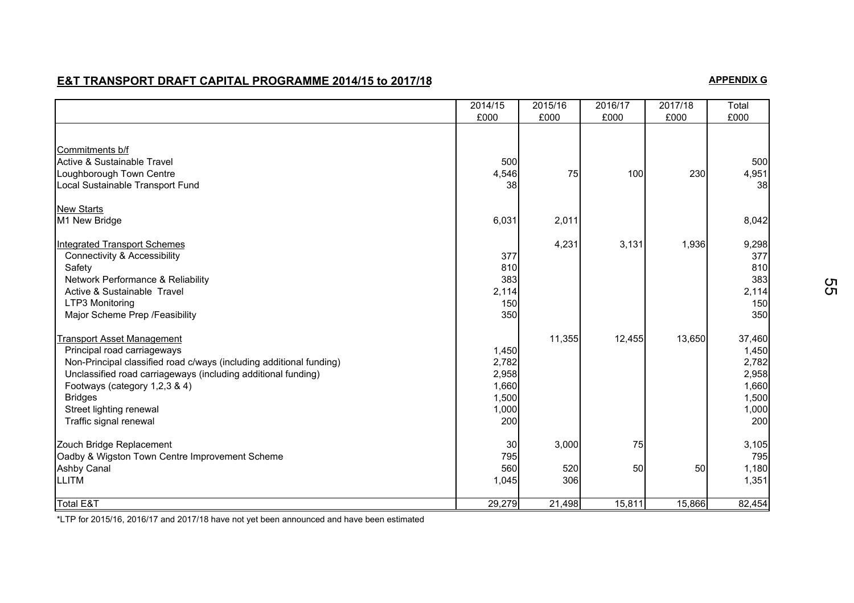# **E&T TRANSPORT DRAFT CAPITAL PROGRAMME 2014/15 to 2017/18**

# **APPENDIX G**

|                                                                     | 2014/15<br>£000 | 2015/16<br>£000 | 2016/17<br>£000 | 2017/18<br>£000 | Total<br>£000 |
|---------------------------------------------------------------------|-----------------|-----------------|-----------------|-----------------|---------------|
|                                                                     |                 |                 |                 |                 |               |
| Commitments b/f                                                     |                 |                 |                 |                 |               |
| Active & Sustainable Travel                                         | 500             |                 |                 |                 | 500           |
| Loughborough Town Centre                                            | 4,546           | 75              | 100             | 230             | 4,951         |
| Local Sustainable Transport Fund                                    | 38              |                 |                 |                 | 38            |
| <b>New Starts</b>                                                   |                 |                 |                 |                 |               |
| M1 New Bridge                                                       | 6,031           | 2,011           |                 |                 | 8,042         |
| <b>Integrated Transport Schemes</b>                                 |                 | 4,231           | 3,131           | 1,936           | 9,298         |
| <b>Connectivity &amp; Accessibility</b>                             | 377             |                 |                 |                 | 377           |
| Safety                                                              | 810             |                 |                 |                 | 810           |
| Network Performance & Reliability                                   | 383             |                 |                 |                 | 383           |
| Active & Sustainable Travel                                         | 2,114           |                 |                 |                 | 2,114         |
| LTP3 Monitoring                                                     | 150             |                 |                 |                 | 150           |
| Major Scheme Prep / Feasibility                                     | 350             |                 |                 |                 | 350           |
| <b>Transport Asset Management</b>                                   |                 | 11,355          | 12,455          | 13,650          | 37,460        |
| Principal road carriageways                                         | 1,450           |                 |                 |                 | 1,450         |
| Non-Principal classified road c/ways (including additional funding) | 2,782           |                 |                 |                 | 2,782         |
| Unclassified road carriageways (including additional funding)       | 2,958           |                 |                 |                 | 2,958         |
| Footways (category 1,2,3 & 4)                                       | 1,660           |                 |                 |                 | 1,660         |
| <b>Bridges</b>                                                      | 1,500           |                 |                 |                 | 1,500         |
| Street lighting renewal                                             | 1,000           |                 |                 |                 | 1,000         |
| Traffic signal renewal                                              | 200             |                 |                 |                 | 200           |
| Zouch Bridge Replacement                                            | 30              | 3,000           | 75              |                 | 3,105         |
| Oadby & Wigston Town Centre Improvement Scheme                      | 795             |                 |                 |                 | 795           |
| <b>Ashby Canal</b>                                                  | 560             | 520             | 50              | 50              | 1,180         |
| <b>LLITM</b>                                                        | 1,045           | 306             |                 |                 | 1,351         |
| <b>Total E&amp;T</b>                                                | 29,279          | 21,498          | 15,811          | 15,866          | 82,454        |

\*LTP for 2015/16, 2016/17 and 2017/18 have not yet been announced and have been estimated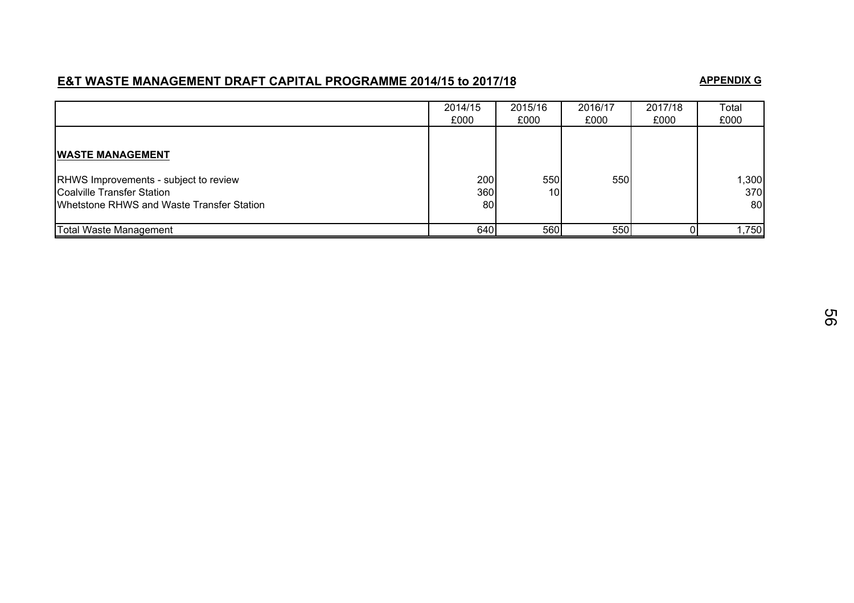# **E&T WASTE MANAGEMENT DRAFT CAPITAL PROGRAMME 2014/15 to 2017/18**

#### **APPENDIX G**

|                                                                                                                         | 2014/15<br>£000   | 2015/16<br>£000 | 2016/17<br>£000 | 2017/18<br>£000 | Total<br>£000      |
|-------------------------------------------------------------------------------------------------------------------------|-------------------|-----------------|-----------------|-----------------|--------------------|
| <b>WASTE MANAGEMENT</b>                                                                                                 |                   |                 |                 |                 |                    |
| <b>RHWS Improvements - subject to review</b><br>Coalville Transfer Station<br>Whetstone RHWS and Waste Transfer Station | 200<br>360I<br>80 | 550<br>10       | 550             |                 | 1,300<br>370<br>80 |
| Total Waste Management                                                                                                  | 640               | 560             | 550             |                 | ,750               |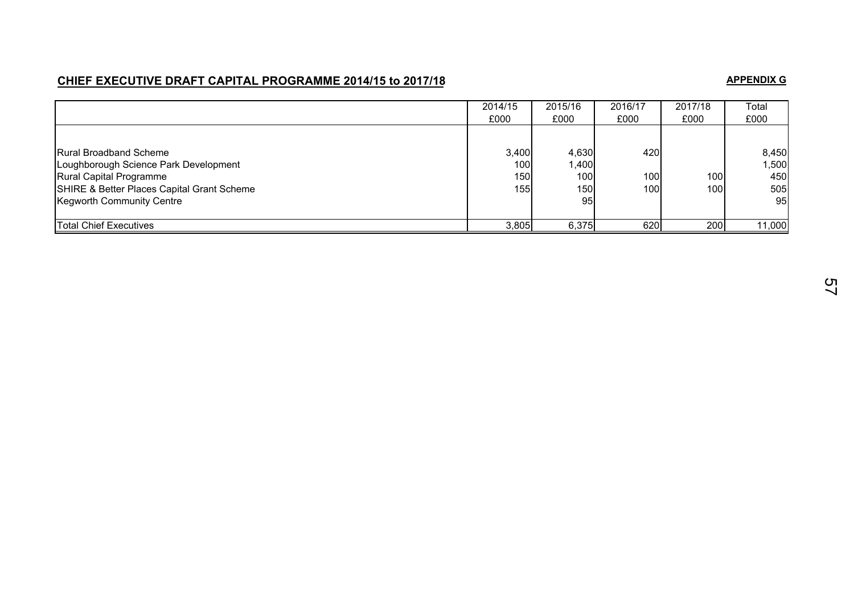## **CHIEF EXECUTIVE DRAFT CAPITAL PROGRAMME 2014/15 to 2017/18**

#### **APPENDIX G**

|                                                                                                                                                                                     | 2014/15<br>£000            | 2015/16<br>£000                             | 2016/17<br>£000   | 2017/18<br>£000 | Total<br>£000                      |
|-------------------------------------------------------------------------------------------------------------------------------------------------------------------------------------|----------------------------|---------------------------------------------|-------------------|-----------------|------------------------------------|
| <b>Rural Broadband Scheme</b><br>Loughborough Science Park Development<br>Rural Capital Programme<br>SHIRE & Better Places Capital Grant Scheme<br><b>Kegworth Community Centre</b> | 3,400<br>100<br>150<br>155 | 4,630<br> 400,<br>100l<br><b>150l</b><br>95 | 420<br>100<br>100 | 100<br>100l     | 8,450<br>1,500<br>450<br>505<br>95 |
| <b>Total Chief Executives</b>                                                                                                                                                       | 3,805                      | 6,375                                       | 620               | 200             | 11,000                             |

57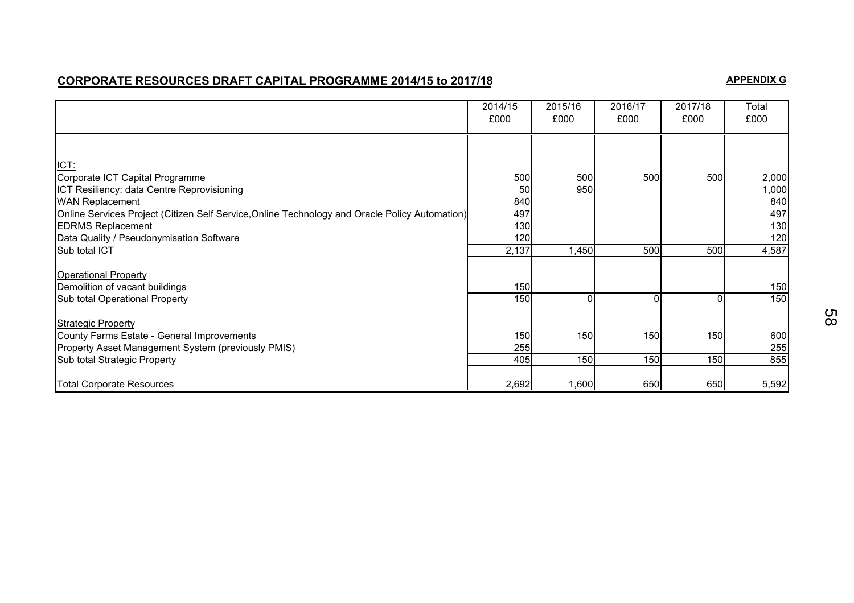## **CORPORATE RESOURCES DRAFT CAPITAL PROGRAMME 2014/15 to 2017/18**

#### **APPENDIX G**

|                                                                                                | 2014/15<br>£000 | 2015/16<br>£000 | 2016/17<br>£000 | 2017/18<br>£000 | Total<br>£000 |
|------------------------------------------------------------------------------------------------|-----------------|-----------------|-----------------|-----------------|---------------|
|                                                                                                |                 |                 |                 |                 |               |
| ICT:                                                                                           |                 |                 |                 |                 |               |
| Corporate ICT Capital Programme                                                                | 500             | 500             | 500             | 500             | 2,000         |
| ICT Resiliency: data Centre Reprovisioning                                                     | 50              | 950             |                 |                 | 1,000         |
| <b>WAN Replacement</b>                                                                         | 840             |                 |                 |                 | 840           |
| Online Services Project (Citizen Self Service, Online Technology and Oracle Policy Automation) | 497             |                 |                 |                 | 497           |
| <b>EDRMS Replacement</b>                                                                       | 130             |                 |                 |                 | 130           |
| Data Quality / Pseudonymisation Software                                                       | 120             |                 |                 |                 | 120           |
| Sub total ICT                                                                                  | 2,137           | 1,450           | 500             | 500             | 4,587         |
| <b>Operational Property</b>                                                                    |                 |                 |                 |                 |               |
| Demolition of vacant buildings                                                                 | 150             |                 |                 |                 | 150           |
| Sub total Operational Property                                                                 | 150             | $\Omega$        | U               | $\Omega$        | 150           |
|                                                                                                |                 |                 |                 |                 |               |
| <b>Strategic Property</b>                                                                      |                 |                 |                 |                 |               |
| County Farms Estate - General Improvements                                                     | 150             | 150             | 150             | 150             | 600           |
| Property Asset Management System (previously PMIS)                                             | 255             |                 |                 |                 | 255           |
| Sub total Strategic Property                                                                   | 405             | 150             | 150             | 150             | 855           |
|                                                                                                |                 |                 |                 |                 |               |
| <b>Total Corporate Resources</b>                                                               | 2,692           | 1,600           | 650             | 650             | 5,592         |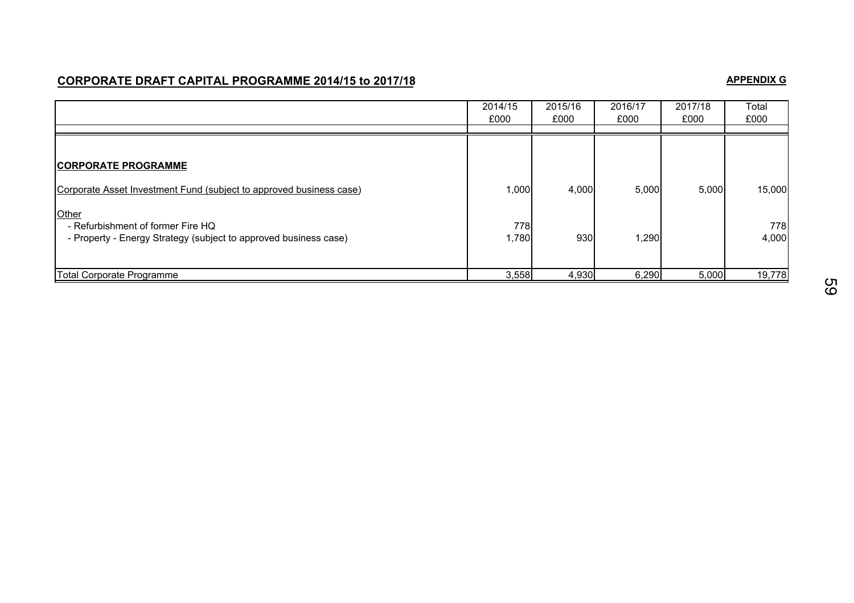## **CORPORATE DRAFT CAPITAL PROGRAMME 2014/15 to 2017/18**

#### **APPENDIX G**

|                                                                                                                                                                                                                     | 2014/15<br>£000       | 2015/16<br>£000 | 2016/17<br>£000 | 2017/18<br>£000 | Total<br>£000          |
|---------------------------------------------------------------------------------------------------------------------------------------------------------------------------------------------------------------------|-----------------------|-----------------|-----------------|-----------------|------------------------|
| <b>CORPORATE PROGRAMME</b><br>Corporate Asset Investment Fund (subject to approved business case)<br>Other<br>- Refurbishment of former Fire HQ<br>- Property - Energy Strategy (subject to approved business case) | 1,000<br>778<br>1,780 | 4,000<br>930    | 5,000<br>1,290  | 5,000           | 15,000<br>778<br>4,000 |
| Total Corporate Programme                                                                                                                                                                                           | 3,558                 | 4,930           | 6,290           | 5,000           | 19,778                 |

59